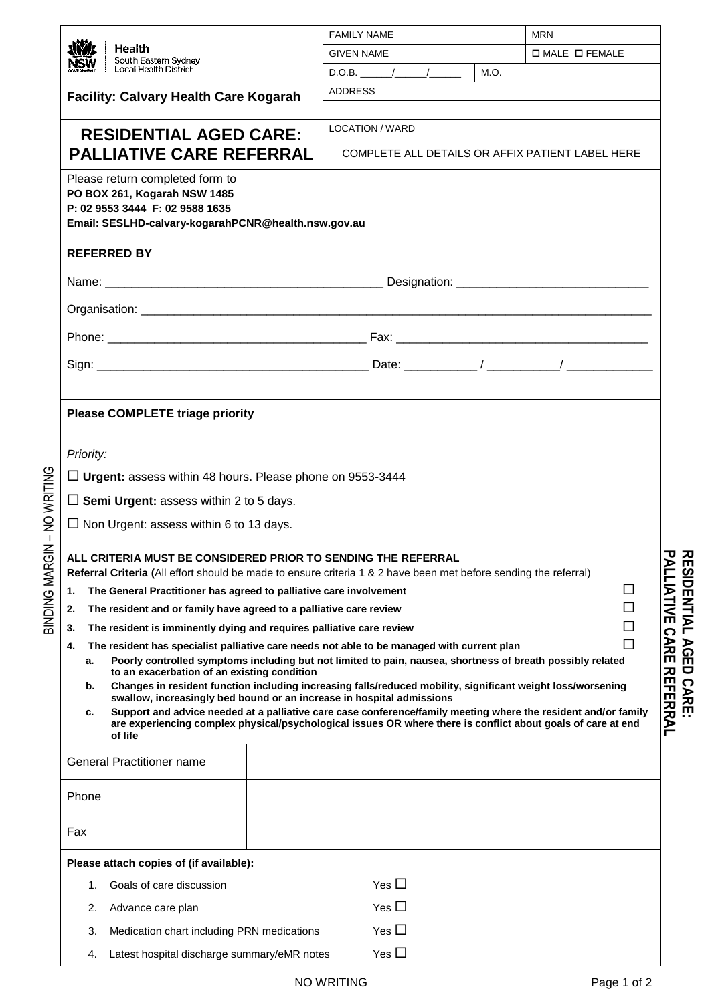|                                                                                                                                                                                                                                                                                                                                                                                                                                                                                                                                                                                                                                                                                                                                                                                                                                                                                              | <b>FAMILY NAME</b>                               |      | <b>MRN</b>                                                                     |  |  |  |
|----------------------------------------------------------------------------------------------------------------------------------------------------------------------------------------------------------------------------------------------------------------------------------------------------------------------------------------------------------------------------------------------------------------------------------------------------------------------------------------------------------------------------------------------------------------------------------------------------------------------------------------------------------------------------------------------------------------------------------------------------------------------------------------------------------------------------------------------------------------------------------------------|--------------------------------------------------|------|--------------------------------------------------------------------------------|--|--|--|
| Health<br>South Eastern Sydney                                                                                                                                                                                                                                                                                                                                                                                                                                                                                                                                                                                                                                                                                                                                                                                                                                                               | <b>GIVEN NAME</b>                                |      | $\Box$ MALE $\Box$ FEMALE                                                      |  |  |  |
| <b>Local Health District</b>                                                                                                                                                                                                                                                                                                                                                                                                                                                                                                                                                                                                                                                                                                                                                                                                                                                                 |                                                  | M.O. |                                                                                |  |  |  |
| <b>Facility: Calvary Health Care Kogarah</b>                                                                                                                                                                                                                                                                                                                                                                                                                                                                                                                                                                                                                                                                                                                                                                                                                                                 | <b>ADDRESS</b>                                   |      |                                                                                |  |  |  |
| <b>RESIDENTIAL AGED CARE:</b>                                                                                                                                                                                                                                                                                                                                                                                                                                                                                                                                                                                                                                                                                                                                                                                                                                                                | <b>LOCATION / WARD</b>                           |      |                                                                                |  |  |  |
| <b>PALLIATIVE CARE REFERRAL</b>                                                                                                                                                                                                                                                                                                                                                                                                                                                                                                                                                                                                                                                                                                                                                                                                                                                              | COMPLETE ALL DETAILS OR AFFIX PATIENT LABEL HERE |      |                                                                                |  |  |  |
| Please return completed form to<br>PO BOX 261, Kogarah NSW 1485<br>P: 02 9553 3444 F: 02 9588 1635<br>Email: SESLHD-calvary-kogarahPCNR@health.nsw.gov.au                                                                                                                                                                                                                                                                                                                                                                                                                                                                                                                                                                                                                                                                                                                                    |                                                  |      |                                                                                |  |  |  |
| <b>REFERRED BY</b>                                                                                                                                                                                                                                                                                                                                                                                                                                                                                                                                                                                                                                                                                                                                                                                                                                                                           |                                                  |      |                                                                                |  |  |  |
|                                                                                                                                                                                                                                                                                                                                                                                                                                                                                                                                                                                                                                                                                                                                                                                                                                                                                              |                                                  |      |                                                                                |  |  |  |
|                                                                                                                                                                                                                                                                                                                                                                                                                                                                                                                                                                                                                                                                                                                                                                                                                                                                                              |                                                  |      |                                                                                |  |  |  |
|                                                                                                                                                                                                                                                                                                                                                                                                                                                                                                                                                                                                                                                                                                                                                                                                                                                                                              |                                                  |      |                                                                                |  |  |  |
|                                                                                                                                                                                                                                                                                                                                                                                                                                                                                                                                                                                                                                                                                                                                                                                                                                                                                              |                                                  |      |                                                                                |  |  |  |
|                                                                                                                                                                                                                                                                                                                                                                                                                                                                                                                                                                                                                                                                                                                                                                                                                                                                                              |                                                  |      |                                                                                |  |  |  |
| ALL CRITERIA MUST BE CONSIDERED PRIOR TO SENDING THE REFERRAL<br>Referral Criteria (All effort should be made to ensure criteria 1 & 2 have been met before sending the referral)<br>The General Practitioner has agreed to palliative care involvement<br>1.<br>The resident and or family have agreed to a palliative care review<br>2.<br>The resident is imminently dying and requires palliative care review<br>3.<br>The resident has specialist palliative care needs not able to be managed with current plan<br>4.<br>Poorly controlled symptoms including but not limited to pain, nausea, shortness of breath possibly related<br>а.<br>to an exacerbation of an existing condition<br>Changes in resident function including increasing falls/reduced mobility, significant weight loss/worsening<br>b.<br>swallow, increasingly bed bound or an increase in hospital admissions |                                                  |      | ᇃ<br>ALLIATIVE<br>ப<br>$\Box$<br>□<br><b>CARI</b><br>П<br>m<br><b>REFERRAL</b> |  |  |  |
| Support and advice needed at a palliative care case conference/family meeting where the resident and/or family<br>c.<br>are experiencing complex physical/psychological issues OR where there is conflict about goals of care at end<br>of life                                                                                                                                                                                                                                                                                                                                                                                                                                                                                                                                                                                                                                              |                                                  |      |                                                                                |  |  |  |
| <b>General Practitioner name</b>                                                                                                                                                                                                                                                                                                                                                                                                                                                                                                                                                                                                                                                                                                                                                                                                                                                             |                                                  |      |                                                                                |  |  |  |
| Phone                                                                                                                                                                                                                                                                                                                                                                                                                                                                                                                                                                                                                                                                                                                                                                                                                                                                                        |                                                  |      |                                                                                |  |  |  |
| Fax                                                                                                                                                                                                                                                                                                                                                                                                                                                                                                                                                                                                                                                                                                                                                                                                                                                                                          |                                                  |      |                                                                                |  |  |  |
| Please attach copies of (if available):                                                                                                                                                                                                                                                                                                                                                                                                                                                                                                                                                                                                                                                                                                                                                                                                                                                      |                                                  |      |                                                                                |  |  |  |
| Goals of care discussion<br>1.                                                                                                                                                                                                                                                                                                                                                                                                                                                                                                                                                                                                                                                                                                                                                                                                                                                               | Yes $\square$                                    |      |                                                                                |  |  |  |
| 2.<br>Advance care plan                                                                                                                                                                                                                                                                                                                                                                                                                                                                                                                                                                                                                                                                                                                                                                                                                                                                      | Yes $\square$                                    |      |                                                                                |  |  |  |
| Medication chart including PRN medications<br>3.                                                                                                                                                                                                                                                                                                                                                                                                                                                                                                                                                                                                                                                                                                                                                                                                                                             | Yes $\square$                                    |      |                                                                                |  |  |  |
| Latest hospital discharge summary/eMR notes<br>4.                                                                                                                                                                                                                                                                                                                                                                                                                                                                                                                                                                                                                                                                                                                                                                                                                                            | Yes $\square$                                    |      |                                                                                |  |  |  |